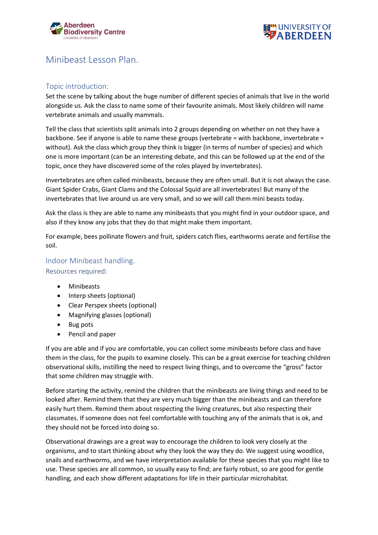



# Minibeast Lesson Plan.

## Topic introduction:

Set the scene by talking about the huge number of different species of animals that live in the world alongside us. Ask the class to name some of their favourite animals. Most likely children will name vertebrate animals and usually mammals.

Tell the class that scientists split animals into 2 groups depending on whether on not they have a backbone. See if anyone is able to name these groups (vertebrate = with backbone, invertebrate = without). Ask the class which group they think is bigger (in terms of number of species) and which one is more important (can be an interesting debate, and this can be followed up at the end of the topic, once they have discovered some of the roles played by invertebrates).

Invertebrates are often called minibeasts, because they are often small. But it is not always the case. Giant Spider Crabs, Giant Clams and the Colossal Squid are all invertebrates! But many of the invertebrates that live around us are very small, and so we will call them mini beasts today.

Ask the class is they are able to name any minibeasts that you might find in your outdoor space, and also if they know any jobs that they do that might make them important.

For example, bees pollinate flowers and fruit, spiders catch flies, earthworms aerate and fertilise the soil.

### Indoor Minibeast handling.

Resources required:

- Minibeasts
- Interp sheets (optional)
- Clear Perspex sheets (optional)
- Magnifying glasses (optional)
- Bug pots
- Pencil and paper

If you are able and if you are comfortable, you can collect some minibeasts before class and have them in the class, for the pupils to examine closely. This can be a great exercise for teaching children observational skills, instilling the need to respect living things, and to overcome the "gross" factor that some children may struggle with.

Before starting the activity, remind the children that the minibeasts are living things and need to be looked after. Remind them that they are very much bigger than the minibeasts and can therefore easily hurt them. Remind them about respecting the living creatures, but also respecting their classmates. If someone does not feel comfortable with touching any of the animals that is ok, and they should not be forced into doing so.

Observational drawings are a great way to encourage the children to look very closely at the organisms, and to start thinking about why they look the way they do. We suggest using woodlice, snails and earthworms, and we have interpretation available for these species that you might like to use. These species are all common, so usually easy to find; are fairly robust, so are good for gentle handling, and each show different adaptations for life in their particular microhabitat.